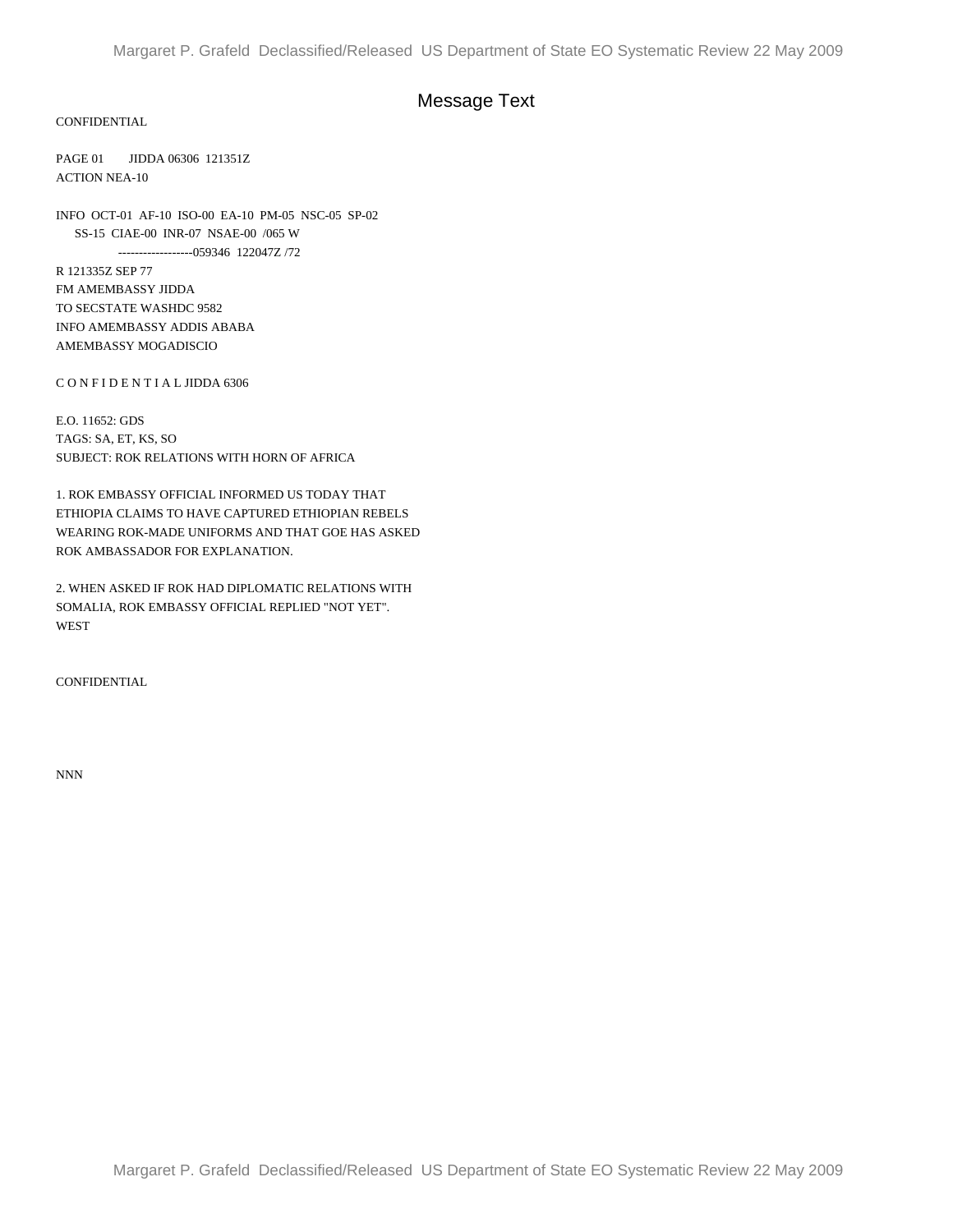## Message Text

CONFIDENTIAL

PAGE 01 JIDDA 06306 121351Z ACTION NEA-10

INFO OCT-01 AF-10 ISO-00 EA-10 PM-05 NSC-05 SP-02 SS-15 CIAE-00 INR-07 NSAE-00 /065 W ------------------059346 122047Z /72

R 121335Z SEP 77 FM AMEMBASSY JIDDA TO SECSTATE WASHDC 9582 INFO AMEMBASSY ADDIS ABABA AMEMBASSY MOGADISCIO

C O N F I D E N T I A L JIDDA 6306

E.O. 11652: GDS TAGS: SA, ET, KS, SO SUBJECT: ROK RELATIONS WITH HORN OF AFRICA

1. ROK EMBASSY OFFICIAL INFORMED US TODAY THAT ETHIOPIA CLAIMS TO HAVE CAPTURED ETHIOPIAN REBELS WEARING ROK-MADE UNIFORMS AND THAT GOE HAS ASKED ROK AMBASSADOR FOR EXPLANATION.

2. WHEN ASKED IF ROK HAD DIPLOMATIC RELATIONS WITH SOMALIA, ROK EMBASSY OFFICIAL REPLIED "NOT YET". WEST

CONFIDENTIAL

NNN